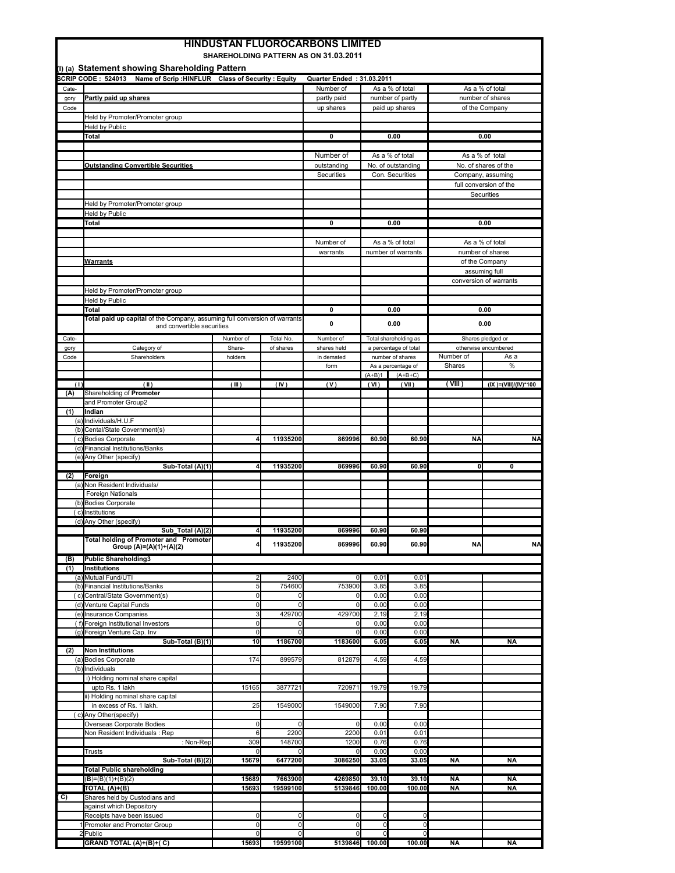| <b>HINDUSTAN FLUOROCARBONS LIMITED</b><br><b>SHAREHOLDING PATTERN AS ON 31.03.2011</b> |                                                                               |                                  |               |                               |                                  |                                 |                     |                        |
|----------------------------------------------------------------------------------------|-------------------------------------------------------------------------------|----------------------------------|---------------|-------------------------------|----------------------------------|---------------------------------|---------------------|------------------------|
| (I) (a) Statement showing Shareholding Pattern                                         |                                                                               |                                  |               |                               |                                  |                                 |                     |                        |
|                                                                                        | <b>SCRIP CODE: 524013</b><br>Name of Scrip: HINFLUR Class of Security: Equity |                                  |               | Quarter Ended: 31.03.2011     |                                  |                                 |                     |                        |
| Cate-                                                                                  |                                                                               |                                  |               | Number of                     |                                  | As a % of total                 |                     | As a % of total        |
| gory                                                                                   | Partly paid up shares                                                         |                                  |               | partly paid                   |                                  | number of partly                | number of shares    |                        |
| Code                                                                                   |                                                                               |                                  |               | up shares                     |                                  | paid up shares                  |                     | of the Company         |
|                                                                                        | Held by Promoter/Promoter group                                               |                                  |               |                               |                                  |                                 |                     |                        |
|                                                                                        | Held by Public                                                                |                                  |               |                               |                                  |                                 |                     |                        |
|                                                                                        | Total                                                                         |                                  |               | $\mathbf 0$                   |                                  | 0.00                            |                     | 0.00                   |
|                                                                                        |                                                                               |                                  |               | Number of                     |                                  | As a % of total                 |                     | As a % of total        |
|                                                                                        | <b>Outstanding Convertible Securities</b>                                     |                                  |               | outstanding                   |                                  | No. of outstanding              |                     | No. of shares of the   |
|                                                                                        |                                                                               |                                  |               | Securities                    |                                  | Con. Securities                 | Company, assuming   |                        |
|                                                                                        |                                                                               |                                  |               |                               |                                  |                                 |                     | full conversion of the |
|                                                                                        |                                                                               |                                  |               |                               |                                  |                                 |                     | Securities             |
|                                                                                        | Held by Promoter/Promoter group                                               |                                  |               |                               |                                  |                                 |                     |                        |
|                                                                                        | <b>Held by Public</b><br>Total                                                |                                  |               | 0                             |                                  | 0.00                            |                     | 0.00                   |
|                                                                                        |                                                                               |                                  |               |                               |                                  |                                 |                     |                        |
|                                                                                        |                                                                               |                                  |               | Number of                     |                                  | As a % of total                 |                     | As a % of total        |
|                                                                                        |                                                                               |                                  |               | warrants                      |                                  | number of warrants              |                     | number of shares       |
|                                                                                        | <u>Warrants</u>                                                               |                                  |               |                               |                                  |                                 |                     | of the Company         |
|                                                                                        |                                                                               |                                  |               |                               |                                  |                                 |                     | assuming full          |
|                                                                                        |                                                                               |                                  |               |                               |                                  |                                 |                     | conversion of warrants |
|                                                                                        | Held by Promoter/Promoter group<br><b>Held by Public</b>                      |                                  |               |                               |                                  |                                 |                     |                        |
|                                                                                        | <b>Total</b>                                                                  |                                  |               | 0                             |                                  | 0.00                            |                     | 0.00                   |
|                                                                                        | Total paid up capital of the Company, assuming full conversion of warrants    |                                  |               |                               |                                  |                                 |                     |                        |
|                                                                                        | and convertible securities                                                    |                                  |               | 0                             |                                  | 0.00                            |                     | 0.00                   |
| Cate-                                                                                  |                                                                               | Number of                        | Total No.     | Number of                     |                                  | Total shareholding as           |                     | Shares pledged or      |
| gory                                                                                   | Category of                                                                   | Share-                           | of shares     | shares held                   |                                  | a percentage of total           |                     | otherwise encumbered   |
| Code                                                                                   | Shareholders                                                                  | holders                          |               | in demated                    |                                  | number of shares                | Number of<br>Shares | As a<br>%              |
|                                                                                        |                                                                               |                                  |               | form                          | $(A+B)1$                         | As a percentage of<br>$(A+B+C)$ |                     |                        |
| (1)                                                                                    | (II)                                                                          | (III)                            | (IV)          | (V)                           | (VI)                             | (VII)                           | (VIII)              | (IX )=(VIII)/(IV)*100  |
| (A)                                                                                    | Shareholding of Promoter                                                      |                                  |               |                               |                                  |                                 |                     |                        |
|                                                                                        | and Promoter Group2                                                           |                                  |               |                               |                                  |                                 |                     |                        |
| (1)                                                                                    | Indian                                                                        |                                  |               |                               |                                  |                                 |                     |                        |
|                                                                                        | (a) Individuals/H.U.F<br>(b) Cental/State Government(s)                       |                                  |               |                               |                                  |                                 |                     |                        |
|                                                                                        | (c) Bodies Corporate                                                          |                                  | 11935200      | 869996                        | 60.90                            | 60.90                           | <b>NA</b>           | <b>NA</b>              |
|                                                                                        | (d) Financial Institutions/Banks                                              |                                  |               |                               |                                  |                                 |                     |                        |
|                                                                                        | (e) Any Other (specify)                                                       |                                  |               |                               |                                  |                                 |                     |                        |
|                                                                                        | Sub-Total (A)(1)                                                              |                                  | 11935200      | 869996                        | 60.90                            | 60.90                           | 0                   | 0                      |
| (2)                                                                                    | Foreign<br>(a) Non Resident Individuals/                                      |                                  |               |                               |                                  |                                 |                     |                        |
|                                                                                        | <b>Foreign Nationals</b>                                                      |                                  |               |                               |                                  |                                 |                     |                        |
|                                                                                        | (b) Bodies Corporate                                                          |                                  |               |                               |                                  |                                 |                     |                        |
|                                                                                        | (c) Institutions                                                              |                                  |               |                               |                                  |                                 |                     |                        |
|                                                                                        | (d) Any Other (specify)                                                       |                                  |               |                               |                                  |                                 |                     |                        |
|                                                                                        | Sub Total (A)(2)<br><b>Total holding of Promoter and Promoter</b>             | 4                                | 11935200      | 869996                        | 60.90                            | 60.90                           |                     |                        |
|                                                                                        | Group (A)=(A)(1)+(A)(2)                                                       |                                  | 11935200      | 869996                        | 60.90                            | 60.90                           | NA                  | <b>NA</b>              |
| (B)                                                                                    | <b>Public Shareholding3</b>                                                   |                                  |               |                               |                                  |                                 |                     |                        |
| (1)                                                                                    | Institutions                                                                  |                                  |               |                               |                                  |                                 |                     |                        |
|                                                                                        | (a) Mutual Fund/UTI                                                           | $\overline{2}$                   | 2400          | $\Omega$                      | 0.01                             | 0.01                            |                     |                        |
|                                                                                        | (b) Financial Institutions/Banks                                              | 5                                | 754600        | 753900                        | 3.85                             | 3.85                            |                     |                        |
|                                                                                        | (c) Central/State Government(s)<br>(d) Venture Capital Funds                  | 0<br>$\overline{0}$              | 0<br>$\Omega$ | $\overline{0}$<br>$\mathbf 0$ | 0.00<br>0.00                     | 0.00<br>0.00                    |                     |                        |
|                                                                                        | (e) Insurance Companies                                                       | 3                                | 429700        | 429700                        | 2.19                             | 2.19                            |                     |                        |
|                                                                                        | (f) Foreign Institutional Investors                                           | $\overline{0}$                   | 0             | $\overline{0}$                | 0.00                             | 0.00                            |                     |                        |
|                                                                                        | (g) Foreign Venture Cap. Inv                                                  | $\overline{0}$                   | n             | $\Omega$                      | 0.00                             | 0.00                            |                     |                        |
|                                                                                        | Sub-Total (B)(1)                                                              | 10 <sub>l</sub>                  | 1186700       | 1183600                       | 6.05                             | 6.05                            | NA                  | NA                     |
| (2)                                                                                    | Non Institutions<br>(a) Bodies Corporate                                      | 174                              | 899579        | 812879                        | 4.59                             | 4.59                            |                     |                        |
|                                                                                        | (b) Individuals                                                               |                                  |               |                               |                                  |                                 |                     |                        |
|                                                                                        | i) Holding nominal share capital                                              |                                  |               |                               |                                  |                                 |                     |                        |
|                                                                                        | upto Rs. 1 lakh                                                               | 15165                            | 3877721       | 720971                        | 19.79                            | 19.79                           |                     |                        |
|                                                                                        | ii) Holding nominal share capital                                             |                                  |               |                               |                                  |                                 |                     |                        |
|                                                                                        | in excess of Rs. 1 lakh.<br>(c) Any Other(specify)                            | 25                               | 1549000       | 1549000                       | 7.90                             | 7.90                            |                     |                        |
|                                                                                        | Overseas Corporate Bodies                                                     | 0                                |               | $\mathbf 0$                   | 0.00                             | 0.00                            |                     |                        |
|                                                                                        | Non Resident Individuals : Rep                                                | 6                                | 2200          | 2200                          | 0.01                             | 0.01                            |                     |                        |
|                                                                                        | : Non-Rep                                                                     | 309                              | 148700        | 1200                          | 0.76                             | 0.76                            |                     |                        |
|                                                                                        | Trusts                                                                        | n                                |               | $\Omega$                      | 0.00                             | 0.00                            |                     |                        |
|                                                                                        | Sub-Total (B)(2)<br><b>Total Public shareholding</b>                          | 15679                            | 6477200       | 3086250                       | 33.05                            | 33.05                           | NA                  | <b>NA</b>              |
|                                                                                        | $(B)=(B)(1)+(B)(2)$                                                           | 15689                            | 7663900       | 4269850                       | 39.10                            | 39.10                           | NA                  | NA                     |
|                                                                                        | TOTAL (A)+(B)                                                                 | 15693                            | 19599100      | 5139846                       | 100.00                           | 100.00                          | ΝA                  | NΑ                     |
| (C)                                                                                    | Shares held by Custodians and                                                 |                                  |               |                               |                                  |                                 |                     |                        |
|                                                                                        | against which Depository                                                      |                                  |               |                               |                                  |                                 |                     |                        |
|                                                                                        | Receipts have been issued<br>Promoter and Promoter Group                      | $\overline{0}$<br>$\overline{0}$ | 0<br>0        | $\mathbf{0}$<br>$\mathbf{0}$  | $\overline{0}$<br>$\overline{0}$ | 0<br>0                          |                     |                        |
|                                                                                        | 2Public                                                                       | $\Omega$                         | 0             | $\Omega$                      | $\Omega$                         | 0                               |                     |                        |
|                                                                                        | GRAND TOTAL (A)+(B)+(C)                                                       | 15693                            | 19599100      | 5139846 100.00                |                                  | 100.00                          | <b>NA</b>           | <b>NA</b>              |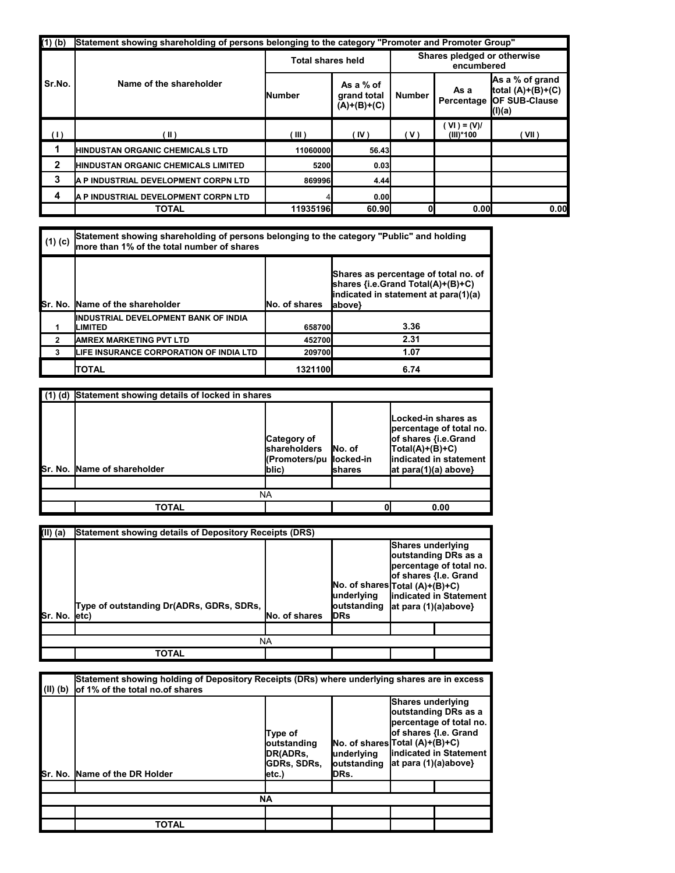| $(1)$ $(b)$    | Statement showing shareholding of persons belonging to the category "Promoter and Promoter Group" |                          |                                           |                                           |                            |                                                                          |  |  |  |
|----------------|---------------------------------------------------------------------------------------------------|--------------------------|-------------------------------------------|-------------------------------------------|----------------------------|--------------------------------------------------------------------------|--|--|--|
|                | Name of the shareholder                                                                           | <b>Total shares held</b> |                                           | Shares pledged or otherwise<br>encumbered |                            |                                                                          |  |  |  |
| Sr.No.         |                                                                                                   | <b>Number</b>            | As a % of<br>grand total<br>$(A)+(B)+(C)$ | <b>Number</b>                             | As a<br>Percentage         | As a % of grand<br>total $(A)+(B)+(C)$<br><b>OF SUB-Clause</b><br>(l)(a) |  |  |  |
| (1)            | [II]                                                                                              | TIL )                    | (IV)                                      | ( V )                                     | $(VI) = (V)/$<br>(III)*100 | (VII)                                                                    |  |  |  |
|                | <b>IHINDUSTAN ORGANIC CHEMICALS LTD</b>                                                           | 11060000                 | 56.43                                     |                                           |                            |                                                                          |  |  |  |
| $\overline{2}$ | <b>IHINDUSTAN ORGANIC CHEMICALS LIMITED</b>                                                       | 5200                     | 0.03                                      |                                           |                            |                                                                          |  |  |  |
| 3              | <b>A P INDUSTRIAL DEVELOPMENT CORPN LTD</b>                                                       | 869996                   | 4.44                                      |                                           |                            |                                                                          |  |  |  |
| 4              | A P INDUSTRIAL DEVELOPMENT CORPN LTD                                                              |                          | 0.00                                      |                                           |                            |                                                                          |  |  |  |
|                | <b>TOTAL</b>                                                                                      | 11935196                 | 60.90                                     |                                           | 0.00                       | 0.00                                                                     |  |  |  |

| $(1)$ (c) | Statement showing shareholding of persons belonging to the category "Public" and holding<br>Imore than 1% of the total number of shares |                      |                                                                                                                             |  |  |  |  |
|-----------|-----------------------------------------------------------------------------------------------------------------------------------------|----------------------|-----------------------------------------------------------------------------------------------------------------------------|--|--|--|--|
|           | <b>ISr. No. IName of the shareholder</b>                                                                                                | <b>No. of shares</b> | Shares as percentage of total no. of<br>shares {i.e.Grand Total(A)+(B)+C)<br>indicated in statement at para(1)(a)<br>above} |  |  |  |  |
|           | IINDUSTRIAL DEVELOPMENT BANK OF INDIA<br>LIMITED                                                                                        | 658700               | 3.36                                                                                                                        |  |  |  |  |
| 2         | <b>AMREX MARKETING PVT LTD</b>                                                                                                          | 452700               | 2.31                                                                                                                        |  |  |  |  |
|           | <b>ILIFE INSURANCE CORPORATION OF INDIA LTD</b>                                                                                         | 209700               | 1.07                                                                                                                        |  |  |  |  |
|           | <b>ITOTAL</b>                                                                                                                           | 1321100              | 6.74                                                                                                                        |  |  |  |  |

| (1) (d) Statement showing details of locked in shares |                                                                          |                    |                                                                                                                                                  |  |  |  |  |  |
|-------------------------------------------------------|--------------------------------------------------------------------------|--------------------|--------------------------------------------------------------------------------------------------------------------------------------------------|--|--|--|--|--|
| <b>Sr. No. Name of shareholder</b>                    | Category of<br><b>Ishareholders</b><br>KPromoters/pu  locked-in<br>(blic | INo. of<br>Ishares | Locked-in shares as<br>percentage of total no.<br>of shares {i.e.Grand<br>$Total(A)+(B)+C)$<br>indicated in statement<br>$at para(1)(a) above\}$ |  |  |  |  |  |
|                                                       |                                                                          |                    |                                                                                                                                                  |  |  |  |  |  |
| NA                                                    |                                                                          |                    |                                                                                                                                                  |  |  |  |  |  |
| TOTAL<br>0.00                                         |                                                                          |                    |                                                                                                                                                  |  |  |  |  |  |

| (II) (a)      | Statement showing details of Depository Receipts (DRS) |               |                                           |                                                                                                                                                                                          |  |  |  |  |
|---------------|--------------------------------------------------------|---------------|-------------------------------------------|------------------------------------------------------------------------------------------------------------------------------------------------------------------------------------------|--|--|--|--|
| Sr. No. letc) | Type of outstanding Dr(ADRs, GDRs, SDRs,               | No. of shares | underlying<br>loutstanding<br><b>IDRs</b> | <b>Shares underlying</b><br>outstanding DRs as a<br>percentage of total no.<br>of shares {I.e. Grand<br>No. of shares Total (A)+(B)+C)<br>indicated in Statement<br>at para (1)(a)above} |  |  |  |  |
|               |                                                        |               |                                           |                                                                                                                                                                                          |  |  |  |  |
|               | NA                                                     |               |                                           |                                                                                                                                                                                          |  |  |  |  |
|               | <b>TOTAL</b>                                           |               |                                           |                                                                                                                                                                                          |  |  |  |  |

| $(\mathsf{II})$ (b) | Statement showing holding of Depository Receipts (DRs) where underlying shares are in excess<br>of 1% of the total no.of shares |                                                                                                                                                                            |  |  |                                                                                                                                    |  |  |  |  |
|---------------------|---------------------------------------------------------------------------------------------------------------------------------|----------------------------------------------------------------------------------------------------------------------------------------------------------------------------|--|--|------------------------------------------------------------------------------------------------------------------------------------|--|--|--|--|
|                     | Sr. No. Name of the DR Holder                                                                                                   | Shares underlying<br>Type of<br>$No. of shares  Total (A)+(B)+C $<br>outstanding<br><b>IDR(ADRs.</b><br>lunderlying<br>outstanding<br><b>GDRs, SDRs,</b><br>DRs.<br>letc.) |  |  | outstanding DRs as a<br>percentage of total no.<br>of shares {I.e. Grand<br><b>lindicated in Statement</b><br>at para (1)(a)above} |  |  |  |  |
|                     |                                                                                                                                 |                                                                                                                                                                            |  |  |                                                                                                                                    |  |  |  |  |
| <b>NA</b>           |                                                                                                                                 |                                                                                                                                                                            |  |  |                                                                                                                                    |  |  |  |  |
|                     |                                                                                                                                 |                                                                                                                                                                            |  |  |                                                                                                                                    |  |  |  |  |
|                     | TOTAL                                                                                                                           |                                                                                                                                                                            |  |  |                                                                                                                                    |  |  |  |  |